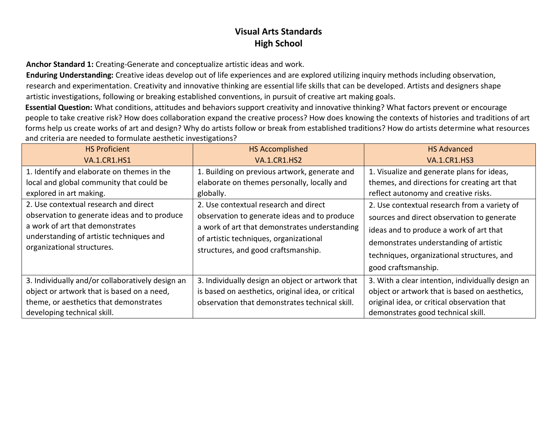**Anchor Standard 1:** Creating-Generate and conceptualize artistic ideas and work.

**Enduring Understanding:** Creative ideas develop out of life experiences and are explored utilizing inquiry methods including observation, research and experimentation. Creativity and innovative thinking are essential life skills that can be developed. Artists and designers shape artistic investigations, following or breaking established conventions, in pursuit of creative art making goals.

**Essential Question:** What conditions, attitudes and behaviors support creativity and innovative thinking? What factors prevent or encourage people to take creative risk? How does collaboration expand the creative process? How does knowing the contexts of histories and traditions of art forms help us create works of art and design? Why do artists follow or break from established traditions? How do artists determine what resources and criteria are needed to formulate aesthetic investigations?

| <b>HS Proficient</b><br><b>VA.1.CR1.HS1</b>                                                                                                                                                                                                                                                                             | <b>HS Accomplished</b><br><b>VA.1.CR1.HS2</b>                                                                                                                                                                                                                                                                                        | <b>HS Advanced</b><br><b>VA.1.CR1.HS3</b>                                                                                                                                                                                                                                                                                                                                                  |
|-------------------------------------------------------------------------------------------------------------------------------------------------------------------------------------------------------------------------------------------------------------------------------------------------------------------------|--------------------------------------------------------------------------------------------------------------------------------------------------------------------------------------------------------------------------------------------------------------------------------------------------------------------------------------|--------------------------------------------------------------------------------------------------------------------------------------------------------------------------------------------------------------------------------------------------------------------------------------------------------------------------------------------------------------------------------------------|
| 1. Identify and elaborate on themes in the<br>local and global community that could be<br>explored in art making.<br>2. Use contextual research and direct<br>observation to generate ideas and to produce<br>a work of art that demonstrates<br>understanding of artistic techniques and<br>organizational structures. | 1. Building on previous artwork, generate and<br>elaborate on themes personally, locally and<br>globally.<br>2. Use contextual research and direct<br>observation to generate ideas and to produce<br>a work of art that demonstrates understanding<br>of artistic techniques, organizational<br>structures, and good craftsmanship. | 1. Visualize and generate plans for ideas,<br>themes, and directions for creating art that<br>reflect autonomy and creative risks.<br>2. Use contextual research from a variety of<br>sources and direct observation to generate<br>ideas and to produce a work of art that<br>demonstrates understanding of artistic<br>techniques, organizational structures, and<br>good craftsmanship. |
| 3. Individually and/or collaboratively design an<br>object or artwork that is based on a need,<br>theme, or aesthetics that demonstrates<br>developing technical skill.                                                                                                                                                 | 3. Individually design an object or artwork that<br>is based on aesthetics, original idea, or critical<br>observation that demonstrates technical skill.                                                                                                                                                                             | 3. With a clear intention, individually design an<br>object or artwork that is based on aesthetics,<br>original idea, or critical observation that<br>demonstrates good technical skill.                                                                                                                                                                                                   |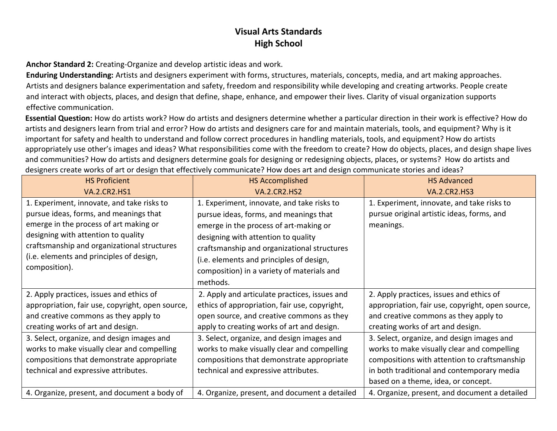**Anchor Standard 2:** Creating-Organize and develop artistic ideas and work.

**Enduring Understanding:** Artists and designers experiment with forms, structures, materials, concepts, media, and art making approaches. Artists and designers balance experimentation and safety, freedom and responsibility while developing and creating artworks. People create and interact with objects, places, and design that define, shape, enhance, and empower their lives. Clarity of visual organization supports effective communication.

**Essential Question:** How do artists work? How do artists and designers determine whether a particular direction in their work is effective? How do artists and designers learn from trial and error? How do artists and designers care for and maintain materials, tools, and equipment? Why is it important for safety and health to understand and follow correct procedures in handling materials, tools, and equipment? How do artists appropriately use other's images and ideas? What responsibilities come with the freedom to create? How do objects, places, and design shape lives and communities? How do artists and designers determine goals for designing or redesigning objects, places, or systems? How do artists and designers create works of art or design that effectively communicate? How does art and design communicate stories and ideas?

| <b>HS Proficient</b>                                                                                                                                                                                                                                                                                                                                         | <b>HS Accomplished</b>                                                                                                                                                                                                                                                                                                                                                      | <b>HS Advanced</b>                                                                                                                                                                                                                                                                                                                                                                                           |
|--------------------------------------------------------------------------------------------------------------------------------------------------------------------------------------------------------------------------------------------------------------------------------------------------------------------------------------------------------------|-----------------------------------------------------------------------------------------------------------------------------------------------------------------------------------------------------------------------------------------------------------------------------------------------------------------------------------------------------------------------------|--------------------------------------------------------------------------------------------------------------------------------------------------------------------------------------------------------------------------------------------------------------------------------------------------------------------------------------------------------------------------------------------------------------|
| <b>VA.2.CR2.HS1</b>                                                                                                                                                                                                                                                                                                                                          | <b>VA.2.CR2.HS2</b>                                                                                                                                                                                                                                                                                                                                                         | <b>VA.2.CR2.HS3</b>                                                                                                                                                                                                                                                                                                                                                                                          |
| 1. Experiment, innovate, and take risks to<br>pursue ideas, forms, and meanings that<br>emerge in the process of art making or<br>designing with attention to quality<br>craftsmanship and organizational structures<br>(i.e. elements and principles of design,<br>composition).                                                                            | 1. Experiment, innovate, and take risks to<br>pursue ideas, forms, and meanings that<br>emerge in the process of art-making or<br>designing with attention to quality<br>craftsmanship and organizational structures<br>(i.e. elements and principles of design,<br>composition) in a variety of materials and<br>methods.                                                  | 1. Experiment, innovate, and take risks to<br>pursue original artistic ideas, forms, and<br>meanings.                                                                                                                                                                                                                                                                                                        |
| 2. Apply practices, issues and ethics of<br>appropriation, fair use, copyright, open source,<br>and creative commons as they apply to<br>creating works of art and design.<br>3. Select, organize, and design images and<br>works to make visually clear and compelling<br>compositions that demonstrate appropriate<br>technical and expressive attributes. | 2. Apply and articulate practices, issues and<br>ethics of appropriation, fair use, copyright,<br>open source, and creative commons as they<br>apply to creating works of art and design.<br>3. Select, organize, and design images and<br>works to make visually clear and compelling<br>compositions that demonstrate appropriate<br>technical and expressive attributes. | 2. Apply practices, issues and ethics of<br>appropriation, fair use, copyright, open source,<br>and creative commons as they apply to<br>creating works of art and design.<br>3. Select, organize, and design images and<br>works to make visually clear and compelling<br>compositions with attention to craftsmanship<br>in both traditional and contemporary media<br>based on a theme, idea, or concept. |
| 4. Organize, present, and document a body of                                                                                                                                                                                                                                                                                                                 | 4. Organize, present, and document a detailed                                                                                                                                                                                                                                                                                                                               | 4. Organize, present, and document a detailed                                                                                                                                                                                                                                                                                                                                                                |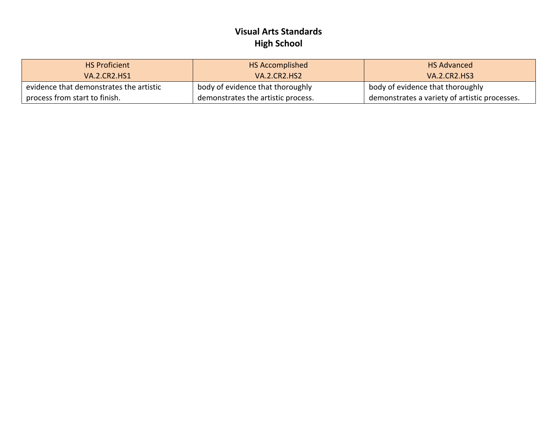| <b>HS Proficient</b>                    | HS Accomplished                    | <b>HS Advanced</b>                            |
|-----------------------------------------|------------------------------------|-----------------------------------------------|
| VA.2.CR2.HS1                            | <b>VA.2.CR2.HS2</b>                | <b>VA.2.CR2.HS3</b>                           |
| evidence that demonstrates the artistic | body of evidence that thoroughly   | body of evidence that thoroughly              |
| process from start to finish.           | demonstrates the artistic process. | demonstrates a variety of artistic processes. |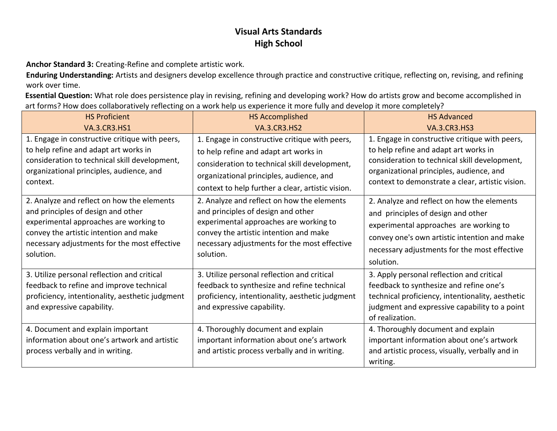**Anchor Standard 3:** Creating-Refine and complete artistic work.

**Enduring Understanding:** Artists and designers develop excellence through practice and constructive critique, reflecting on, revising, and refining work over time.

**Essential Question:** What role does persistence play in revising, refining and developing work? How do artists grow and become accomplished in art forms? How does collaboratively reflecting on a work help us experience it more fully and develop it more completely?

| <b>HS Proficient</b>                                                                                                                                                                                                              | <b>HS Accomplished</b>                                                                                                                                                                                                                    | <b>HS Advanced</b>                                                                                                                                                                                                                       |
|-----------------------------------------------------------------------------------------------------------------------------------------------------------------------------------------------------------------------------------|-------------------------------------------------------------------------------------------------------------------------------------------------------------------------------------------------------------------------------------------|------------------------------------------------------------------------------------------------------------------------------------------------------------------------------------------------------------------------------------------|
| <b>VA.3.CR3.HS1</b>                                                                                                                                                                                                               | <b>VA.3.CR3.HS2</b>                                                                                                                                                                                                                       | <b>VA.3.CR3.HS3</b>                                                                                                                                                                                                                      |
| 1. Engage in constructive critique with peers,<br>to help refine and adapt art works in<br>consideration to technical skill development,<br>organizational principles, audience, and<br>context.                                  | 1. Engage in constructive critique with peers,<br>to help refine and adapt art works in<br>consideration to technical skill development,<br>organizational principles, audience, and<br>context to help further a clear, artistic vision. | 1. Engage in constructive critique with peers,<br>to help refine and adapt art works in<br>consideration to technical skill development,<br>organizational principles, audience, and<br>context to demonstrate a clear, artistic vision. |
| 2. Analyze and reflect on how the elements<br>and principles of design and other<br>experimental approaches are working to<br>convey the artistic intention and make<br>necessary adjustments for the most effective<br>solution. | 2. Analyze and reflect on how the elements<br>and principles of design and other<br>experimental approaches are working to<br>convey the artistic intention and make<br>necessary adjustments for the most effective<br>solution.         | 2. Analyze and reflect on how the elements<br>and principles of design and other<br>experimental approaches are working to<br>convey one's own artistic intention and make<br>necessary adjustments for the most effective<br>solution.  |
| 3. Utilize personal reflection and critical<br>feedback to refine and improve technical<br>proficiency, intentionality, aesthetic judgment<br>and expressive capability.                                                          | 3. Utilize personal reflection and critical<br>feedback to synthesize and refine technical<br>proficiency, intentionality, aesthetic judgment<br>and expressive capability.                                                               | 3. Apply personal reflection and critical<br>feedback to synthesize and refine one's<br>technical proficiency, intentionality, aesthetic<br>judgment and expressive capability to a point<br>of realization.                             |
| 4. Document and explain important<br>information about one's artwork and artistic<br>process verbally and in writing.                                                                                                             | 4. Thoroughly document and explain<br>important information about one's artwork<br>and artistic process verbally and in writing.                                                                                                          | 4. Thoroughly document and explain<br>important information about one's artwork<br>and artistic process, visually, verbally and in<br>writing.                                                                                           |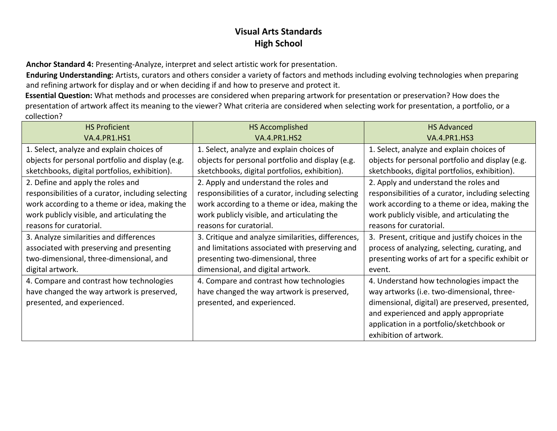**Anchor Standard 4:** Presenting-Analyze, interpret and select artistic work for presentation.

**Enduring Understanding:** Artists, curators and others consider a variety of factors and methods including evolving technologies when preparing and refining artwork for display and or when deciding if and how to preserve and protect it.

**Essential Question:** What methods and processes are considered when preparing artwork for presentation or preservation? How does the presentation of artwork affect its meaning to the viewer? What criteria are considered when selecting work for presentation, a portfolio, or a collection?

| <b>HS Proficient</b>                               | <b>HS Accomplished</b>                             | <b>HS Advanced</b>                                 |
|----------------------------------------------------|----------------------------------------------------|----------------------------------------------------|
| <b>VA.4.PR1.HS1</b>                                | <b>VA.4.PR1.HS2</b>                                | <b>VA.4.PR1.HS3</b>                                |
| 1. Select, analyze and explain choices of          | 1. Select, analyze and explain choices of          | 1. Select, analyze and explain choices of          |
| objects for personal portfolio and display (e.g.   | objects for personal portfolio and display (e.g.   | objects for personal portfolio and display (e.g.   |
| sketchbooks, digital portfolios, exhibition).      | sketchbooks, digital portfolios, exhibition).      | sketchbooks, digital portfolios, exhibition).      |
| 2. Define and apply the roles and                  | 2. Apply and understand the roles and              | 2. Apply and understand the roles and              |
| responsibilities of a curator, including selecting | responsibilities of a curator, including selecting | responsibilities of a curator, including selecting |
| work according to a theme or idea, making the      | work according to a theme or idea, making the      | work according to a theme or idea, making the      |
| work publicly visible, and articulating the        | work publicly visible, and articulating the        | work publicly visible, and articulating the        |
| reasons for curatorial.                            | reasons for curatorial.                            | reasons for curatorial.                            |
| 3. Analyze similarities and differences            | 3. Critique and analyze similarities, differences, | 3. Present, critique and justify choices in the    |
| associated with preserving and presenting          | and limitations associated with preserving and     | process of analyzing, selecting, curating, and     |
| two-dimensional, three-dimensional, and            | presenting two-dimensional, three                  | presenting works of art for a specific exhibit or  |
| digital artwork.                                   | dimensional, and digital artwork.                  | event.                                             |
| 4. Compare and contrast how technologies           | 4. Compare and contrast how technologies           | 4. Understand how technologies impact the          |
| have changed the way artwork is preserved,         | have changed the way artwork is preserved,         | way artworks (i.e. two-dimensional, three-         |
| presented, and experienced.                        | presented, and experienced.                        | dimensional, digital) are preserved, presented,    |
|                                                    |                                                    | and experienced and apply appropriate              |
|                                                    |                                                    | application in a portfolio/sketchbook or           |
|                                                    |                                                    | exhibition of artwork.                             |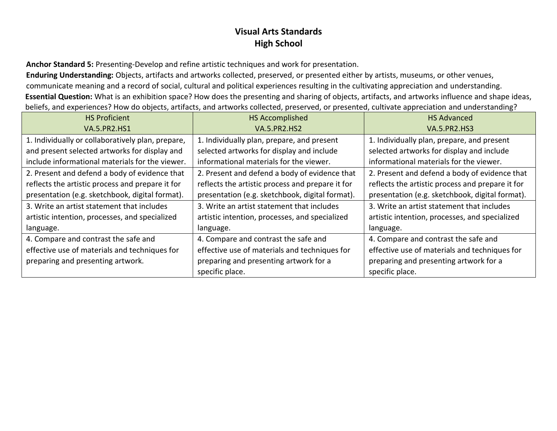**Anchor Standard 5:** Presenting-Develop and refine artistic techniques and work for presentation.

**Enduring Understanding:** Objects, artifacts and artworks collected, preserved, or presented either by artists, museums, or other venues, communicate meaning and a record of social, cultural and political experiences resulting in the cultivating appreciation and understanding. **Essential Question:** What is an exhibition space? How does the presenting and sharing of objects, artifacts, and artworks influence and shape ideas, beliefs, and experiences? How do objects, artifacts, and artworks collected, preserved, or presented, cultivate appreciation and understanding?

| <b>HS Proficient</b>                              | <b>HS Accomplished</b>                           | <b>HS Advanced</b>                               |
|---------------------------------------------------|--------------------------------------------------|--------------------------------------------------|
| <b>VA.5.PR2.HS1</b>                               | <b>VA.5.PR2.HS2</b>                              | <b>VA.5.PR2.HS3</b>                              |
| 1. Individually or collaboratively plan, prepare, | 1. Individually plan, prepare, and present       | 1. Individually plan, prepare, and present       |
| and present selected artworks for display and     | selected artworks for display and include        | selected artworks for display and include        |
| include informational materials for the viewer.   | informational materials for the viewer.          | informational materials for the viewer.          |
| 2. Present and defend a body of evidence that     | 2. Present and defend a body of evidence that    | 2. Present and defend a body of evidence that    |
| reflects the artistic process and prepare it for  | reflects the artistic process and prepare it for | reflects the artistic process and prepare it for |
| presentation (e.g. sketchbook, digital format).   | presentation (e.g. sketchbook, digital format).  | presentation (e.g. sketchbook, digital format).  |
| 3. Write an artist statement that includes        | 3. Write an artist statement that includes       | 3. Write an artist statement that includes       |
| artistic intention, processes, and specialized    | artistic intention, processes, and specialized   | artistic intention, processes, and specialized   |
| language.                                         | language.                                        | language.                                        |
| 4. Compare and contrast the safe and              | 4. Compare and contrast the safe and             | 4. Compare and contrast the safe and             |
| effective use of materials and techniques for     | effective use of materials and techniques for    | effective use of materials and techniques for    |
| preparing and presenting artwork.                 | preparing and presenting artwork for a           | preparing and presenting artwork for a           |
|                                                   | specific place.                                  | specific place.                                  |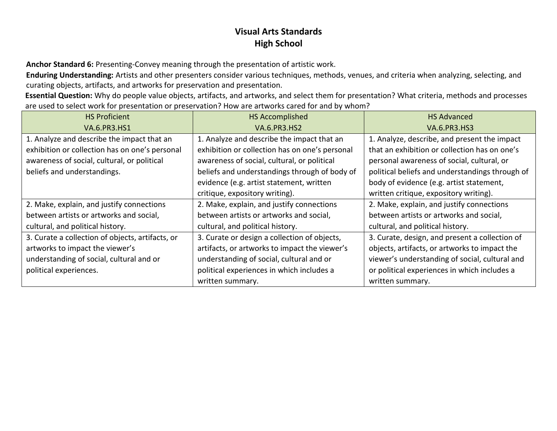**Anchor Standard 6:** Presenting-Convey meaning through the presentation of artistic work.

**Enduring Understanding:** Artists and other presenters consider various techniques, methods, venues, and criteria when analyzing, selecting, and curating objects, artifacts, and artworks for preservation and presentation.

**Essential Question:** Why do people value objects, artifacts, and artworks, and select them for presentation? What criteria, methods and processes are used to select work for presentation or preservation? How are artworks cared for and by whom?

| <b>HS Proficient</b>                             | <b>HS Accomplished</b>                         | <b>HS Advanced</b>                              |
|--------------------------------------------------|------------------------------------------------|-------------------------------------------------|
| <b>VA.6.PR3.HS1</b>                              | <b>VA.6.PR3.HS2</b>                            | <b>VA.6.PR3.HS3</b>                             |
| 1. Analyze and describe the impact that an       | 1. Analyze and describe the impact that an     | 1. Analyze, describe, and present the impact    |
| exhibition or collection has on one's personal   | exhibition or collection has on one's personal | that an exhibition or collection has on one's   |
| awareness of social, cultural, or political      | awareness of social, cultural, or political    | personal awareness of social, cultural, or      |
| beliefs and understandings.                      | beliefs and understandings through of body of  | political beliefs and understandings through of |
|                                                  | evidence (e.g. artist statement, written       | body of evidence (e.g. artist statement,        |
|                                                  | critique, expository writing).                 | written critique, expository writing).          |
| 2. Make, explain, and justify connections        | 2. Make, explain, and justify connections      | 2. Make, explain, and justify connections       |
| between artists or artworks and social,          | between artists or artworks and social,        | between artists or artworks and social,         |
| cultural, and political history.                 | cultural, and political history.               | cultural, and political history.                |
| 3. Curate a collection of objects, artifacts, or | 3. Curate or design a collection of objects,   | 3. Curate, design, and present a collection of  |
| artworks to impact the viewer's                  | artifacts, or artworks to impact the viewer's  | objects, artifacts, or artworks to impact the   |
| understanding of social, cultural and or         | understanding of social, cultural and or       | viewer's understanding of social, cultural and  |
| political experiences.                           | political experiences in which includes a      | or political experiences in which includes a    |
|                                                  | written summary.                               | written summary.                                |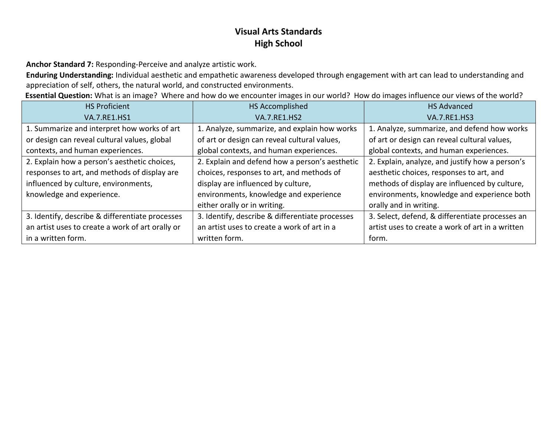**Anchor Standard 7:** Responding-Perceive and analyze artistic work.

**Enduring Understanding:** Individual aesthetic and empathetic awareness developed through engagement with art can lead to understanding and appreciation of self, others, the natural world, and constructed environments.

**Essential Question:** What is an image? Where and how do we encounter images in our world? How do images influence our views of the world?

| <b>HS Proficient</b>                             | <b>HS Accomplished</b>                          | <b>HS Advanced</b>                               |
|--------------------------------------------------|-------------------------------------------------|--------------------------------------------------|
| <b>VA.7.RE1.HS1</b>                              | <b>VA.7.RE1.HS2</b>                             | <b>VA.7.RE1.HS3</b>                              |
| 1. Summarize and interpret how works of art      | 1. Analyze, summarize, and explain how works    | 1. Analyze, summarize, and defend how works      |
| or design can reveal cultural values, global     | of art or design can reveal cultural values,    | of art or design can reveal cultural values,     |
| contexts, and human experiences.                 | global contexts, and human experiences.         | global contexts, and human experiences.          |
| 2. Explain how a person's aesthetic choices,     | 2. Explain and defend how a person's aesthetic  | 2. Explain, analyze, and justify how a person's  |
| responses to art, and methods of display are     | choices, responses to art, and methods of       | aesthetic choices, responses to art, and         |
| influenced by culture, environments,             | display are influenced by culture,              | methods of display are influenced by culture,    |
| knowledge and experience.                        | environments, knowledge and experience          | environments, knowledge and experience both      |
|                                                  | either orally or in writing.                    | orally and in writing.                           |
| 3. Identify, describe & differentiate processes  | 3. Identify, describe & differentiate processes | 3. Select, defend, & differentiate processes an  |
| an artist uses to create a work of art orally or | an artist uses to create a work of art in a     | artist uses to create a work of art in a written |
| in a written form.                               | written form.                                   | form.                                            |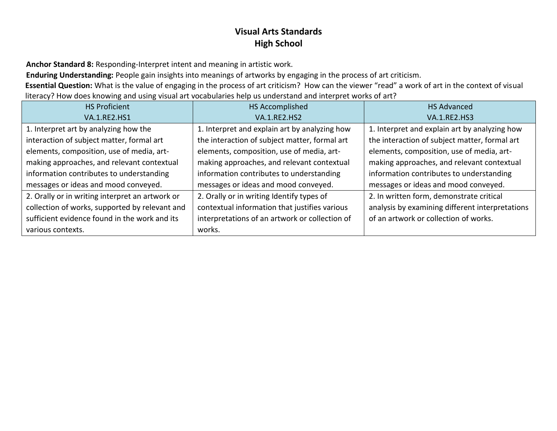**Anchor Standard 8:** Responding-Interpret intent and meaning in artistic work.

**Enduring Understanding:** People gain insights into meanings of artworks by engaging in the process of art criticism.

**Essential Question:** What is the value of engaging in the process of art criticism? How can the viewer "read" a work of art in the context of visual literacy? How does knowing and using visual art vocabularies help us understand and interpret works of art?

| <b>HS Proficient</b>                            | HS Accomplished                                | <b>HS Advanced</b>                              |
|-------------------------------------------------|------------------------------------------------|-------------------------------------------------|
| <b>VA.1.RE2.HS1</b>                             | <b>VA.1.RE2.HS2</b>                            | <b>VA.1.RE2.HS3</b>                             |
| 1. Interpret art by analyzing how the           | 1. Interpret and explain art by analyzing how  | 1. Interpret and explain art by analyzing how   |
| interaction of subject matter, formal art       | the interaction of subject matter, formal art  | the interaction of subject matter, formal art   |
| elements, composition, use of media, art-       | elements, composition, use of media, art-      | elements, composition, use of media, art-       |
| making approaches, and relevant contextual      | making approaches, and relevant contextual     | making approaches, and relevant contextual      |
| information contributes to understanding        | information contributes to understanding       | information contributes to understanding        |
| messages or ideas and mood conveyed.            | messages or ideas and mood conveyed.           | messages or ideas and mood conveyed.            |
| 2. Orally or in writing interpret an artwork or | 2. Orally or in writing Identify types of      | 2. In written form, demonstrate critical        |
| collection of works, supported by relevant and  | contextual information that justifies various  | analysis by examining different interpretations |
| sufficient evidence found in the work and its   | interpretations of an artwork or collection of | of an artwork or collection of works.           |
| various contexts.                               | works.                                         |                                                 |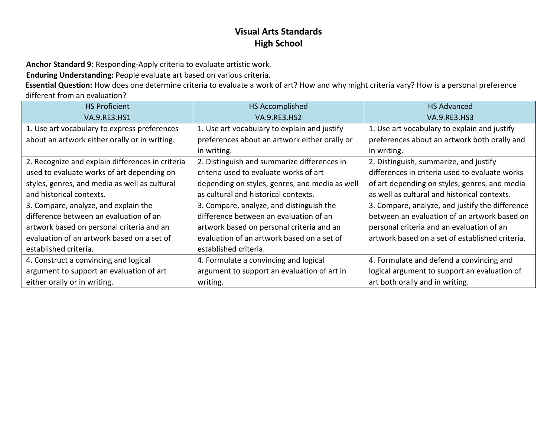**Anchor Standard 9:** Responding-Apply criteria to evaluate artistic work.

**Enduring Understanding:** People evaluate art based on various criteria.

**Essential Question:** How does one determine criteria to evaluate a work of art? How and why might criteria vary? How is a personal preference different from an evaluation?

| <b>HS Proficient</b>                             | <b>HS Accomplished</b>                         | <b>HS Advanced</b>                              |
|--------------------------------------------------|------------------------------------------------|-------------------------------------------------|
| <b>VA.9.RE3.HS1</b>                              | <b>VA.9.RE3.HS2</b>                            | <b>VA.9.RE3.HS3</b>                             |
| 1. Use art vocabulary to express preferences     | 1. Use art vocabulary to explain and justify   | 1. Use art vocabulary to explain and justify    |
| about an artwork either orally or in writing.    | preferences about an artwork either orally or  | preferences about an artwork both orally and    |
|                                                  | in writing.                                    | in writing.                                     |
| 2. Recognize and explain differences in criteria | 2. Distinguish and summarize differences in    | 2. Distinguish, summarize, and justify          |
| used to evaluate works of art depending on       | criteria used to evaluate works of art         | differences in criteria used to evaluate works  |
| styles, genres, and media as well as cultural    | depending on styles, genres, and media as well | of art depending on styles, genres, and media   |
| and historical contexts.                         | as cultural and historical contexts.           | as well as cultural and historical contexts.    |
| 3. Compare, analyze, and explain the             | 3. Compare, analyze, and distinguish the       | 3. Compare, analyze, and justify the difference |
| difference between an evaluation of an           | difference between an evaluation of an         | between an evaluation of an artwork based on    |
| artwork based on personal criteria and an        | artwork based on personal criteria and an      | personal criteria and an evaluation of an       |
| evaluation of an artwork based on a set of       | evaluation of an artwork based on a set of     | artwork based on a set of established criteria. |
| established criteria.                            | established criteria.                          |                                                 |
| 4. Construct a convincing and logical            | 4. Formulate a convincing and logical          | 4. Formulate and defend a convincing and        |
| argument to support an evaluation of art         | argument to support an evaluation of art in    | logical argument to support an evaluation of    |
| either orally or in writing.                     | writing.                                       | art both orally and in writing.                 |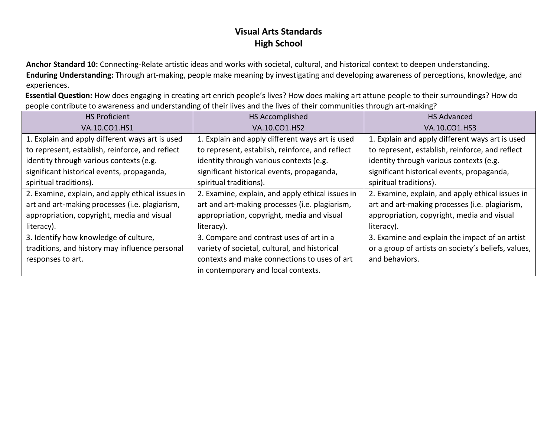**Anchor Standard 10:** Connecting-Relate artistic ideas and works with societal, cultural, and historical context to deepen understanding. **Enduring Understanding:** Through art-making, people make meaning by investigating and developing awareness of perceptions, knowledge, and experiences.

**Essential Question:** How does engaging in creating art enrich people's lives? How does making art attune people to their surroundings? How do people contribute to awareness and understanding of their lives and the lives of their communities through art-making?

| <b>HS Proficient</b>                             | HS Accomplished                                  | <b>HS Advanced</b>                                  |
|--------------------------------------------------|--------------------------------------------------|-----------------------------------------------------|
| VA.10.CO1.HS1                                    | VA.10.CO1.HS2                                    | VA.10.CO1.HS3                                       |
| 1. Explain and apply different ways art is used  | 1. Explain and apply different ways art is used  | 1. Explain and apply different ways art is used     |
| to represent, establish, reinforce, and reflect  | to represent, establish, reinforce, and reflect  | to represent, establish, reinforce, and reflect     |
| identity through various contexts (e.g.          | identity through various contexts (e.g.          | identity through various contexts (e.g.             |
| significant historical events, propaganda,       | significant historical events, propaganda,       | significant historical events, propaganda,          |
| spiritual traditions).                           | spiritual traditions).                           | spiritual traditions).                              |
| 2. Examine, explain, and apply ethical issues in | 2. Examine, explain, and apply ethical issues in | 2. Examine, explain, and apply ethical issues in    |
| art and art-making processes (i.e. plagiarism,   | art and art-making processes (i.e. plagiarism,   | art and art-making processes (i.e. plagiarism,      |
| appropriation, copyright, media and visual       | appropriation, copyright, media and visual       | appropriation, copyright, media and visual          |
| literacy).                                       | literacy).                                       | literacy).                                          |
| 3. Identify how knowledge of culture,            | 3. Compare and contrast uses of art in a         | 3. Examine and explain the impact of an artist      |
| traditions, and history may influence personal   | variety of societal, cultural, and historical    | or a group of artists on society's beliefs, values, |
| responses to art.                                | contexts and make connections to uses of art     | and behaviors.                                      |
|                                                  | in contemporary and local contexts.              |                                                     |